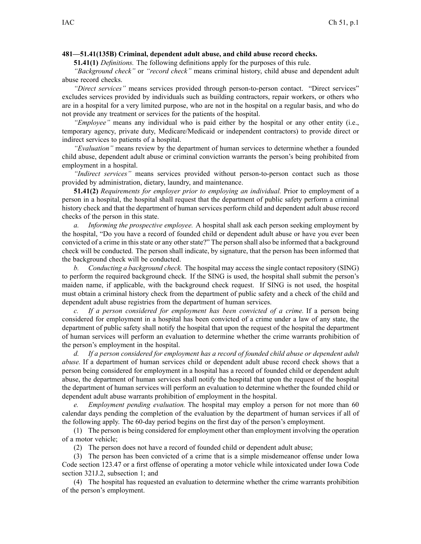## **481—51.41(135B) Criminal, dependent adult abuse, and child abuse record checks.**

**51.41(1)** *Definitions.* The following definitions apply for the purposes of this rule.

*"Background check"* or *"record check"* means criminal history, child abuse and dependent adult abuse record checks.

*"Direct services"* means services provided through person-to-person contact. "Direct services" excludes services provided by individuals such as building contractors, repair workers, or others who are in <sup>a</sup> hospital for <sup>a</sup> very limited purpose, who are not in the hospital on <sup>a</sup> regular basis, and who do not provide any treatment or services for the patients of the hospital.

*"Employee"* means any individual who is paid either by the hospital or any other entity (i.e., temporary agency, private duty, Medicare/Medicaid or independent contractors) to provide direct or indirect services to patients of <sup>a</sup> hospital.

*"Evaluation"* means review by the department of human services to determine whether <sup>a</sup> founded child abuse, dependent adult abuse or criminal conviction warrants the person's being prohibited from employment in <sup>a</sup> hospital.

*"Indirect services"* means services provided without person-to-person contact such as those provided by administration, dietary, laundry, and maintenance.

**51.41(2)** *Requirements for employer prior to employing an individual.* Prior to employment of <sup>a</sup> person in <sup>a</sup> hospital, the hospital shall reques<sup>t</sup> that the department of public safety perform <sup>a</sup> criminal history check and that the department of human services perform child and dependent adult abuse record checks of the person in this state.

*a. Informing the prospective employee.* A hospital shall ask each person seeking employment by the hospital, "Do you have <sup>a</sup> record of founded child or dependent adult abuse or have you ever been convicted of <sup>a</sup> crime in this state or any other state?" The person shall also be informed that <sup>a</sup> background check will be conducted. The person shall indicate, by signature, that the person has been informed that the background check will be conducted.

*b. Conducting <sup>a</sup> background check.* The hospital may access the single contact repository (SING) to perform the required background check. If the SING is used, the hospital shall submit the person's maiden name, if applicable, with the background check request. If SING is not used, the hospital must obtain <sup>a</sup> criminal history check from the department of public safety and <sup>a</sup> check of the child and dependent adult abuse registries from the department of human services.

*c. If <sup>a</sup> person considered for employment has been convicted of <sup>a</sup> crime.* If <sup>a</sup> person being considered for employment in <sup>a</sup> hospital has been convicted of <sup>a</sup> crime under <sup>a</sup> law of any state, the department of public safety shall notify the hospital that upon the reques<sup>t</sup> of the hospital the department of human services will perform an evaluation to determine whether the crime warrants prohibition of the person's employment in the hospital.

*d. If <sup>a</sup> person considered for employment has <sup>a</sup> record of founded child abuse or dependent adult abuse.* If <sup>a</sup> department of human services child or dependent adult abuse record check shows that <sup>a</sup> person being considered for employment in <sup>a</sup> hospital has <sup>a</sup> record of founded child or dependent adult abuse, the department of human services shall notify the hospital that upon the reques<sup>t</sup> of the hospital the department of human services will perform an evaluation to determine whether the founded child or dependent adult abuse warrants prohibition of employment in the hospital.

*e. Employment pending evaluation.* The hospital may employ <sup>a</sup> person for not more than 60 calendar days pending the completion of the evaluation by the department of human services if all of the following apply. The 60-day period begins on the first day of the person's employment.

(1) The person is being considered for employment other than employment involving the operation of <sup>a</sup> motor vehicle;

(2) The person does not have <sup>a</sup> record of founded child or dependent adult abuse;

(3) The person has been convicted of <sup>a</sup> crime that is <sup>a</sup> simple misdemeanor offense under Iowa Code section [123.47](https://www.legis.iowa.gov/docs/ico/section/123.47.pdf) or <sup>a</sup> first offense of operating <sup>a</sup> motor vehicle while intoxicated under Iowa Code section 321J.2, [subsection](https://www.legis.iowa.gov/docs/ico/section/321J.2.pdf) 1; and

(4) The hospital has requested an evaluation to determine whether the crime warrants prohibition of the person's employment.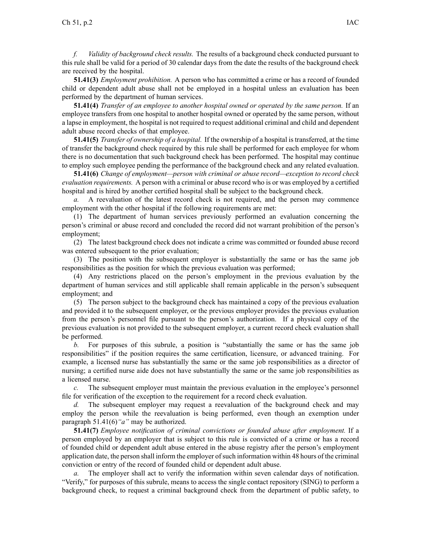*f. Validity of background check results.* The results of <sup>a</sup> background check conducted pursuan<sup>t</sup> to this rule shall be valid for <sup>a</sup> period of 30 calendar days from the date the results of the background check are received by the hospital.

**51.41(3)** *Employment prohibition.* A person who has committed <sup>a</sup> crime or has <sup>a</sup> record of founded child or dependent adult abuse shall not be employed in <sup>a</sup> hospital unless an evaluation has been performed by the department of human services.

**51.41(4)** *Transfer of an employee to another hospital owned or operated by the same person.* If an employee transfers from one hospital to another hospital owned or operated by the same person, without <sup>a</sup> lapse in employment, the hospital is not required to reques<sup>t</sup> additional criminal and child and dependent adult abuse record checks of that employee.

**51.41(5)** *Transfer of ownership of <sup>a</sup> hospital.* If the ownership of <sup>a</sup> hospital is transferred, at the time of transfer the background check required by this rule shall be performed for each employee for whom there is no documentation that such background check has been performed. The hospital may continue to employ such employee pending the performance of the background check and any related evaluation.

**51.41(6)** *Change of employment—person with criminal or abuse record—exception to record check evaluation requirements.* A person with <sup>a</sup> criminal or abuse record who is or was employed by <sup>a</sup> certified hospital and is hired by another certified hospital shall be subject to the background check.

*a.* A reevaluation of the latest record check is not required, and the person may commence employment with the other hospital if the following requirements are met:

(1) The department of human services previously performed an evaluation concerning the person's criminal or abuse record and concluded the record did not warrant prohibition of the person's employment;

(2) The latest background check does not indicate <sup>a</sup> crime was committed or founded abuse record was entered subsequent to the prior evaluation;

(3) The position with the subsequent employer is substantially the same or has the same job responsibilities as the position for which the previous evaluation was performed;

(4) Any restrictions placed on the person's employment in the previous evaluation by the department of human services and still applicable shall remain applicable in the person's subsequent employment; and

(5) The person subject to the background check has maintained <sup>a</sup> copy of the previous evaluation and provided it to the subsequent employer, or the previous employer provides the previous evaluation from the person's personnel file pursuan<sup>t</sup> to the person's authorization. If <sup>a</sup> physical copy of the previous evaluation is not provided to the subsequent employer, <sup>a</sup> current record check evaluation shall be performed.

*b.* For purposes of this subrule, <sup>a</sup> position is "substantially the same or has the same job responsibilities" if the position requires the same certification, licensure, or advanced training. For example, <sup>a</sup> licensed nurse has substantially the same or the same job responsibilities as <sup>a</sup> director of nursing; <sup>a</sup> certified nurse aide does not have substantially the same or the same job responsibilities as <sup>a</sup> licensed nurse.

*c.* The subsequent employer must maintain the previous evaluation in the employee's personnel file for verification of the exception to the requirement for <sup>a</sup> record check evaluation.

*d.* The subsequent employer may request a reevaluation of the background check and may employ the person while the reevaluation is being performed, even though an exemption under paragraph [51.41\(6\)](https://www.legis.iowa.gov/docs/iac/rule/481.51.41.pdf)*"a"* may be authorized.

**51.41(7)** *Employee notification of criminal convictions or founded abuse after employment.* If <sup>a</sup> person employed by an employer that is subject to this rule is convicted of <sup>a</sup> crime or has <sup>a</sup> record of founded child or dependent adult abuse entered in the abuse registry after the person's employment application date, the person shall inform the employer of such information within 48 hours of the criminal conviction or entry of the record of founded child or dependent adult abuse.

The employer shall act to verify the information within seven calendar days of notification. "Verify," for purposes of this subrule, means to access the single contact repository (SING) to perform <sup>a</sup> background check, to reques<sup>t</sup> <sup>a</sup> criminal background check from the department of public safety, to